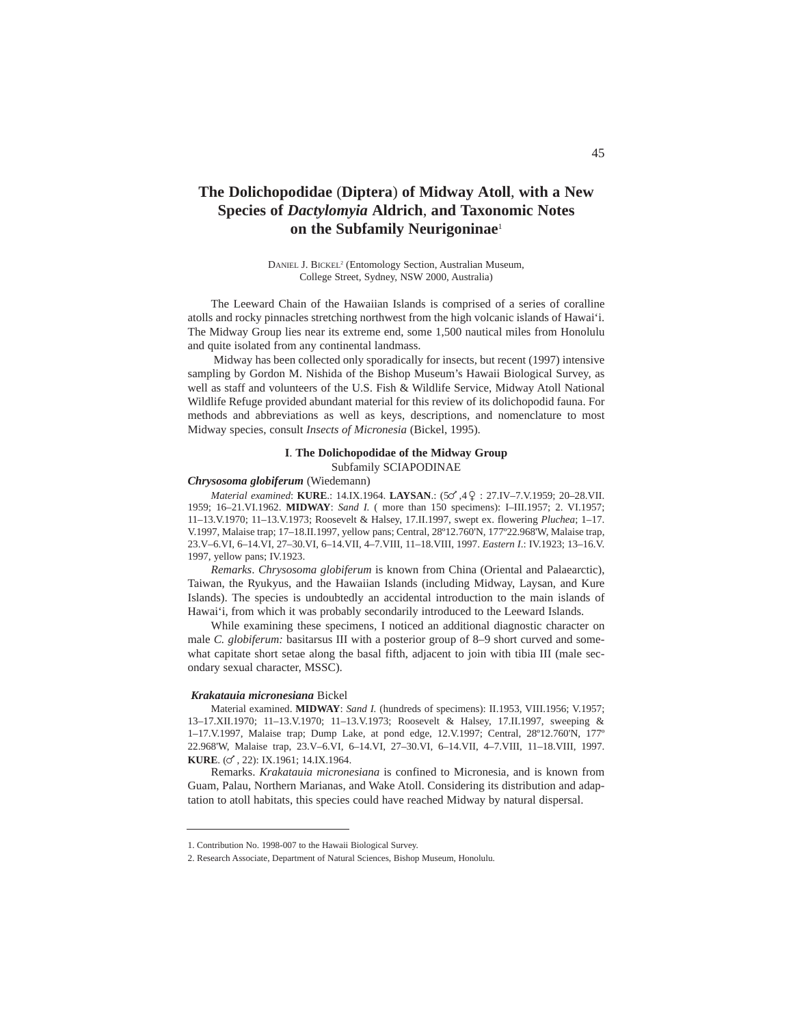# **The Dolichopodidae** (**Diptera**) **of Midway Atoll**, **with a New Species of** *Dactylomyia* **Aldrich**, **and Taxonomic Notes on the Subfamily Neurigoninae**<sup>1</sup>

DANIEL J. BICKEL2 (Entomology Section, Australian Museum, College Street, Sydney, NSW 2000, Australia)

The Leeward Chain of the Hawaiian Islands is comprised of a series of coralline atolls and rocky pinnacles stretching northwest from the high volcanic islands of Hawai'i. The Midway Group lies near its extreme end, some 1,500 nautical miles from Honolulu and quite isolated from any continental landmass.

Midway has been collected only sporadically for insects, but recent (1997) intensive sampling by Gordon M. Nishida of the Bishop Museum's Hawaii Biological Survey, as well as staff and volunteers of the U.S. Fish & Wildlife Service, Midway Atoll National Wildlife Refuge provided abundant material for this review of its dolichopodid fauna. For methods and abbreviations as well as keys, descriptions, and nomenclature to most Midway species, consult *Insects of Micronesia* (Bickel, 1995).

# **I**. **The Dolichopodidae of the Midway Group** Subfamily SCIAPODINAE

## *Chrysosoma globiferum* (Wiedemann)

*Material examined*: **KURE.**: 14.IX.1964. **LAYSAN.**: (50<sup>'</sup>, 4<sup>Q</sup> : 27.IV-7.V.1959; 20-28.VII. 1959; 16–21.VI.1962. **MIDWAY**: *Sand I.* ( more than 150 specimens): I–III.1957; 2. VI.1957; 11–13.V.1970; 11–13.V.1973; Roosevelt & Halsey, 17.II.1997, swept ex. flowering *Pluchea*; 1–17. V.1997, Malaise trap; 17–18.II.1997, yellow pans; Central, 28º12.760'N, 177º22.968'W, Malaise trap, 23.V–6.VI, 6–14.VI, 27–30.VI, 6–14.VII, 4–7.VIII, 11–18.VIII, 1997. *Eastern I*.: IV.1923; 13–16.V. 1997, yellow pans; IV.1923.

*Remarks*. *Chrysosoma globiferum* is known from China (Oriental and Palaearctic), Taiwan, the Ryukyus, and the Hawaiian Islands (including Midway, Laysan, and Kure Islands). The species is undoubtedly an accidental introduction to the main islands of Hawai'i, from which it was probably secondarily introduced to the Leeward Islands.

While examining these specimens, I noticed an additional diagnostic character on male *C. globiferum:* basitarsus III with a posterior group of 8–9 short curved and somewhat capitate short setae along the basal fifth, adjacent to join with tibia III (male secondary sexual character, MSSC).

#### *Krakatauia micronesiana* Bickel

Material examined. **MIDWAY**: *Sand I.* (hundreds of specimens): II.1953, VIII.1956; V.1957; 13–17.XII.1970; 11–13.V.1970; 11–13.V.1973; Roosevelt & Halsey, 17.II.1997, sweeping & 1–17.V.1997, Malaise trap; Dump Lake, at pond edge, 12.V.1997; Central, 28º12.760'N, 177º 22.968'W, Malaise trap, 23.V–6.VI, 6–14.VI, 27–30.VI, 6–14.VII, 4–7.VIII, 11–18.VIII, 1997. **KURE.** (c), 22): IX.1961: 14.IX.1964.

Remarks. *Krakatauia micronesiana* is confined to Micronesia, and is known from Guam, Palau, Northern Marianas, and Wake Atoll. Considering its distribution and adaptation to atoll habitats, this species could have reached Midway by natural dispersal.

<sup>1.</sup> Contribution No. 1998-007 to the Hawaii Biological Survey.

<sup>2.</sup> Research Associate, Department of Natural Sciences, Bishop Museum, Honolulu.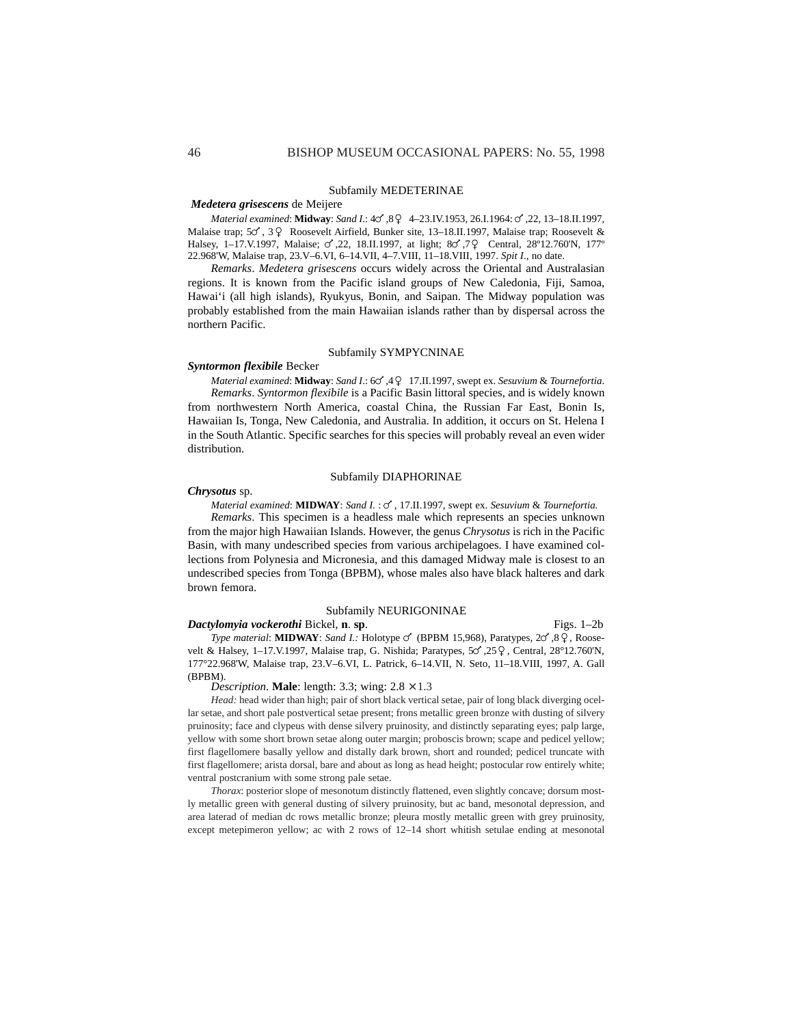### Subfamily MEDETERINAE

### *Medetera grisescens* de Meijere

*Material examined*: **Midway**: *Sand I*.:  $40^{\circ}$ ,  $89 - 423$ .IV.1953, 26.I.1964:  $6^{\circ}$ , 22, 13-18.II.1997, Malaise trap;  $5\degree$ ,  $3\degree$  Roosevelt Airfield, Bunker site, 13–18.II.1997, Malaise trap; Roosevelt & Halsey, 1-17.V.1997, Malaise; 6,22, 18.II.1997, at light; 86,79 Central, 28°12.760'N, 177° 22.968'W, Malaise trap, 23.V–6.VI, 6–14.VII, 4–7.VIII, 11–18.VIII, 1997. *Spit I*., no date.

*Remarks*. *Medetera grisescens* occurs widely across the Oriental and Australasian regions. It is known from the Pacific island groups of New Caledonia, Fiji, Samoa, Hawai'i (all high islands), Ryukyus, Bonin, and Saipan. The Midway population was probably established from the main Hawaiian islands rather than by dispersal across the northern Pacific.

### Subfamily SYMPYCNINAE

#### *Syntormon flexibile* Becker

*Material examined*: **Midway**: *Sand I*.: 64,42 17.II.1997, swept ex. *Sesuvium* & *Tournefortia*. *Remarks*. *Syntormon flexibile* is a Pacific Basin littoral species, and is widely known from northwestern North America, coastal China, the Russian Far East, Bonin Is, Hawaiian Is, Tonga, New Caledonia, and Australia. In addition, it occurs on St. Helena I in the South Atlantic. Specific searches for this species will probably reveal an even wider distribution.

# Subfamily DIAPHORINAE

### *Chrysotus* sp.

*Material examined*: **MIDWAY**: *Sand I.* :  $\circ$ , 17.II.1997, swept ex. *Sesuvium & Tournefortia. Remarks*. This specimen is a headless male which represents an species unknown from the major high Hawaiian Islands. However, the genus *Chrysotus* is rich in the Pacific Basin, with many undescribed species from various archipelagoes. I have examined collections from Polynesia and Micronesia, and this damaged Midway male is closest to an undescribed species from Tonga (BPBM), whose males also have black halteres and dark brown femora.

## Subfamily NEURIGONINAE

# *Dactylomyia vockerothi* Bickel, **n**. **sp**. Figs. 1–2b

*Type material*: **MIDWAY**: *Sand I.:* Holotype  $\circ$  (BPBM 15,968), Paratypes, 2 $\circ$ ,8  $\circ$ , Roosevelt & Halsey, 1-17.V.1997, Malaise trap, G. Nishida; Paratypes,  $50^{\circ}$ ,  $25^{\circ}$ , Central, 28°12.760'N, 177°22.968'W, Malaise trap, 23.V–6.VI, L. Patrick, 6–14.VII, N. Seto, 11–18.VIII, 1997, A. Gall (BPBM).

*Description.* **Male**: length: 3.3; wing:  $2.8 \times 1.3$ 

*Head:* head wider than high; pair of short black vertical setae, pair of long black diverging ocellar setae, and short pale postvertical setae present; frons metallic green bronze with dusting of silvery pruinosity; face and clypeus with dense silvery pruinosity, and distinctly separating eyes; palp large, yellow with some short brown setae along outer margin; proboscis brown; scape and pedicel yellow; first flagellomere basally yellow and distally dark brown, short and rounded; pedicel truncate with first flagellomere; arista dorsal, bare and about as long as head height; postocular row entirely white; ventral postcranium with some strong pale setae.

*Thorax*: posterior slope of mesonotum distinctly flattened, even slightly concave; dorsum mostly metallic green with general dusting of silvery pruinosity, but ac band, mesonotal depression, and area laterad of median dc rows metallic bronze; pleura mostly metallic green with grey pruinosity, except metepimeron yellow; ac with 2 rows of 12–14 short whitish setulae ending at mesonotal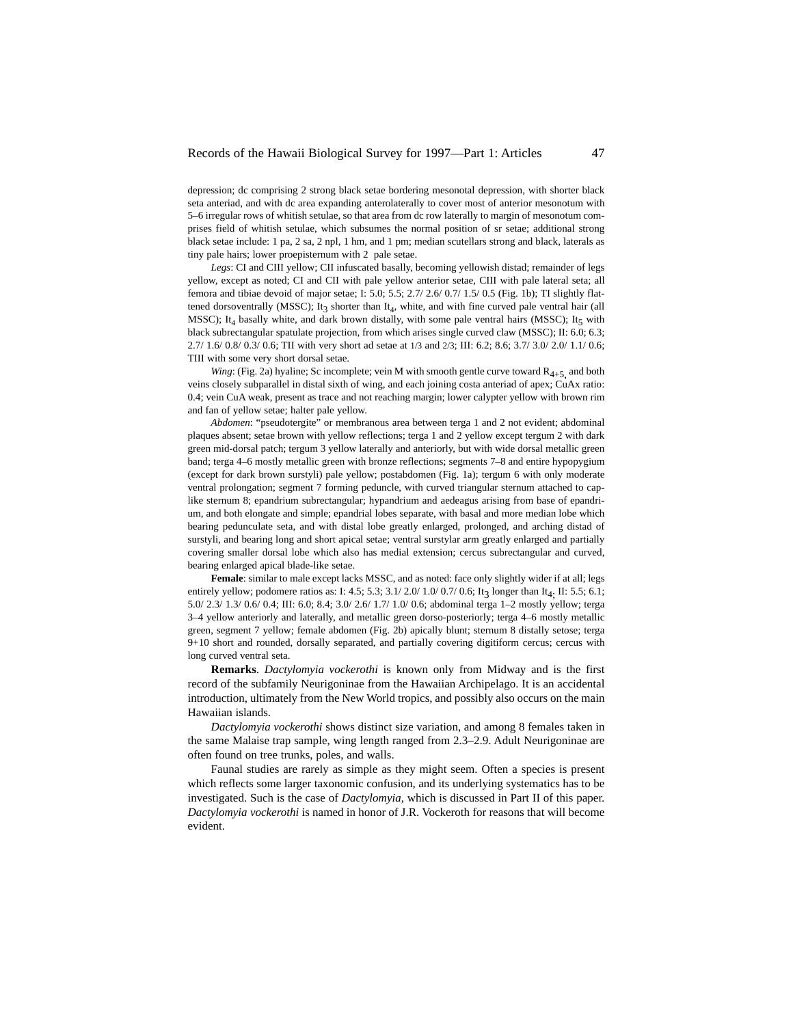depression; dc comprising 2 strong black setae bordering mesonotal depression, with shorter black seta anteriad, and with dc area expanding anterolaterally to cover most of anterior mesonotum with 5–6 irregular rows of whitish setulae, so that area from dc row laterally to margin of mesonotum comprises field of whitish setulae, which subsumes the normal position of sr setae; additional strong black setae include: 1 pa, 2 sa, 2 npl, 1 hm, and 1 pm; median scutellars strong and black, laterals as tiny pale hairs; lower proepisternum with 2 pale setae.

Legs: CI and CIII yellow; CII infuscated basally, becoming yellowish distad; remainder of legs yellow, except as noted; CI and CII with pale yellow anterior setae, CIII with pale lateral seta; all femora and tibiae devoid of major setae; I: 5.0; 5.5; 2.7/ 2.6/ 0.7/ 1.5/ 0.5 (Fig. 1b); TI slightly flattened dorsoventrally (MSSC); It<sub>3</sub> shorter than It<sub>4</sub>, white, and with fine curved pale ventral hair (all MSSC); It<sub>4</sub> basally white, and dark brown distally, with some pale ventral hairs (MSSC); It<sub>5</sub> with black subrectangular spatulate projection, from which arises single curved claw (MSSC); II: 6.0; 6.3; 2.7/ 1.6/ 0.8/ 0.3/ 0.6; TII with very short ad setae at 1/3 and 2/3; III: 6.2; 8.6; 3.7/ 3.0/ 2.0/ 1.1/ 0.6; TIII with some very short dorsal setae.

*Wing*: (Fig. 2a) hyaline; Sc incomplete; vein M with smooth gentle curve toward  $R_{4+5}$  and both veins closely subparallel in distal sixth of wing, and each joining costa anteriad of apex; CuAx ratio: 0.4; vein CuA weak, present as trace and not reaching margin; lower calypter yellow with brown rim and fan of yellow setae; halter pale yellow.

*Abdomen*: "pseudotergite" or membranous area between terga 1 and 2 not evident; abdominal plaques absent; setae brown with yellow reflections; terga 1 and 2 yellow except tergum 2 with dark green mid-dorsal patch; tergum 3 yellow laterally and anteriorly, but with wide dorsal metallic green band; terga 4–6 mostly metallic green with bronze reflections; segments 7–8 and entire hypopygium (except for dark brown surstyli) pale yellow; postabdomen (Fig. 1a); tergum 6 with only moderate ventral prolongation; segment 7 forming peduncle, with curved triangular sternum attached to caplike sternum 8; epandrium subrectangular; hypandrium and aedeagus arising from base of epandrium, and both elongate and simple; epandrial lobes separate, with basal and more median lobe which bearing pedunculate seta, and with distal lobe greatly enlarged, prolonged, and arching distad of surstyli, and bearing long and short apical setae; ventral surstylar arm greatly enlarged and partially covering smaller dorsal lobe which also has medial extension; cercus subrectangular and curved, bearing enlarged apical blade-like setae.

Female: similar to male except lacks MSSC, and as noted: face only slightly wider if at all; legs entirely yellow; podomere ratios as: I: 4.5; 5.3; 3.1/ 2.0/ 1.0/ 0.7/ 0.6; It3 longer than It<sub>4</sub>. II: 5.5; 6.1; 5.0/ 2.3/ 1.3/ 0.6/ 0.4; III: 6.0; 8.4; 3.0/ 2.6/ 1.7/ 1.0/ 0.6; abdominal terga 1–2 mostly yellow; terga 3–4 yellow anteriorly and laterally, and metallic green dorso-posteriorly; terga 4–6 mostly metallic green, segment 7 yellow; female abdomen (Fig. 2b) apically blunt; sternum 8 distally setose; terga 9+10 short and rounded, dorsally separated, and partially covering digitiform cercus; cercus with long curved ventral seta.

**Remarks**. *Dactylomyia vockerothi* is known only from Midway and is the first record of the subfamily Neurigoninae from the Hawaiian Archipelago. It is an accidental introduction, ultimately from the New World tropics, and possibly also occurs on the main Hawaiian islands.

*Dactylomyia vockerothi* shows distinct size variation, and among 8 females taken in the same Malaise trap sample, wing length ranged from 2.3–2.9. Adult Neurigoninae are often found on tree trunks, poles, and walls.

Faunal studies are rarely as simple as they might seem. Often a species is present which reflects some larger taxonomic confusion, and its underlying systematics has to be investigated. Such is the case of *Dactylomyia*, which is discussed in Part II of this paper. *Dactylomyia vockerothi* is named in honor of J.R. Vockeroth for reasons that will become evident.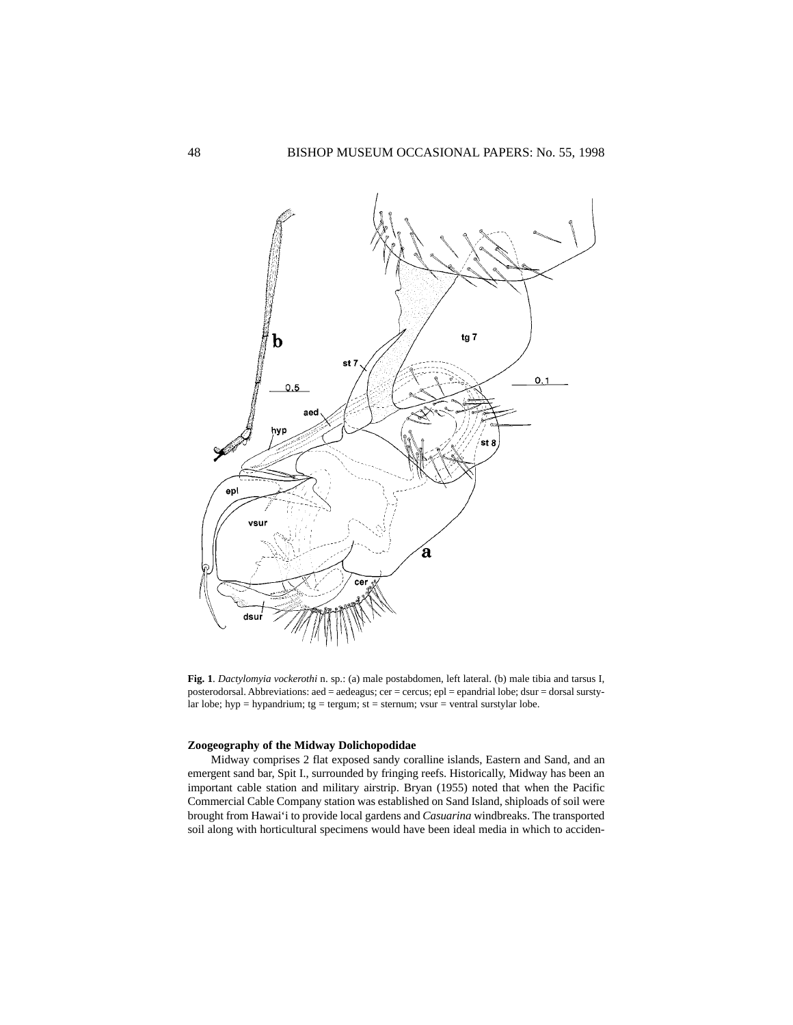

**Fig. 1**. *Dactylomyia vockerothi* n. sp.: (a) male postabdomen, left lateral. (b) male tibia and tarsus I, posterodorsal. Abbreviations: aed = aedeagus; cer = cercus; epl = epandrial lobe; dsur = dorsal surstylar lobe; hyp = hypandrium;  $tg = \text{tergum}$ ;  $st = \text{sternum}$ ;  $vsur = \text{ventral}$  surstylar lobe.

# **Zoogeography of the Midway Dolichopodidae**

Midway comprises 2 flat exposed sandy coralline islands, Eastern and Sand, and an emergent sand bar, Spit I., surrounded by fringing reefs. Historically, Midway has been an important cable station and military airstrip. Bryan (1955) noted that when the Pacific Commercial Cable Company station was established on Sand Island, shiploads of soil were brought from Hawai'i to provide local gardens and *Casuarina* windbreaks. The transported soil along with horticultural specimens would have been ideal media in which to acciden-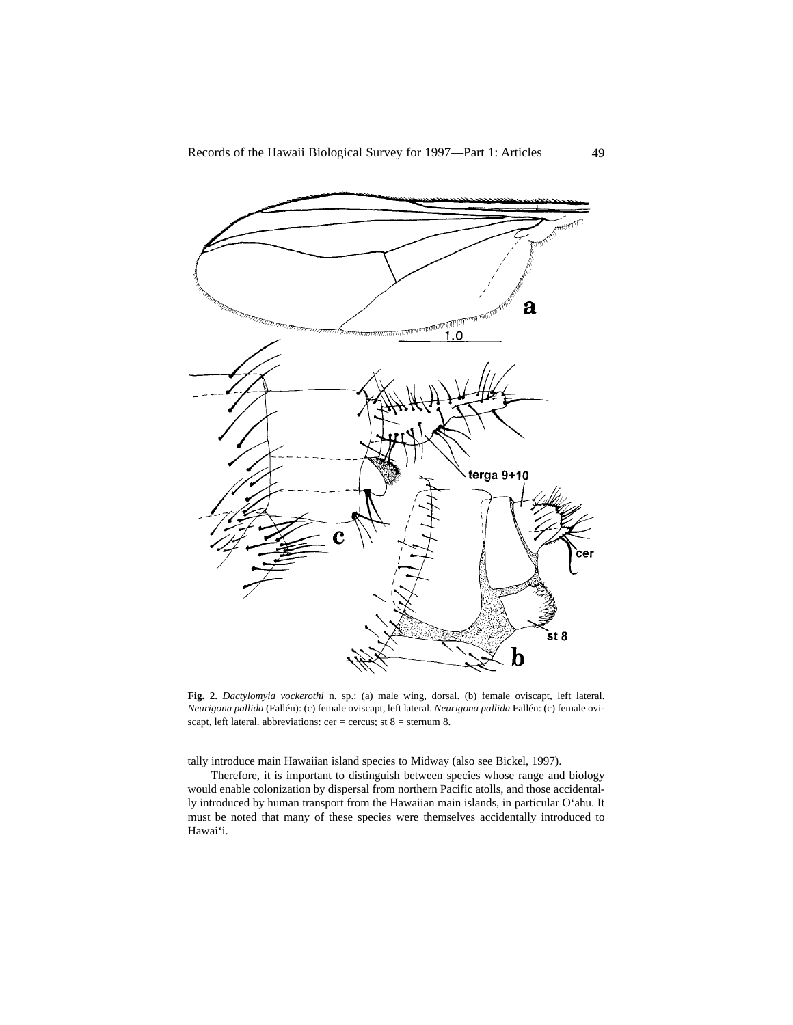

**Fig. 2**. *Dactylomyia vockerothi* n. sp.: (a) male wing, dorsal. (b) female oviscapt, left lateral. *Neurigona pallida* (Fallén): (c) female oviscapt, left lateral. *Neurigona pallida* Fallén: (c) female oviscapt, left lateral. abbreviations: cer = cercus; st  $8$  = sternum 8.

tally introduce main Hawaiian island species to Midway (also see Bickel, 1997).

Therefore, it is important to distinguish between species whose range and biology would enable colonization by dispersal from northern Pacific atolls, and those accidentally introduced by human transport from the Hawaiian main islands, in particular O'ahu. It must be noted that many of these species were themselves accidentally introduced to Hawai'i.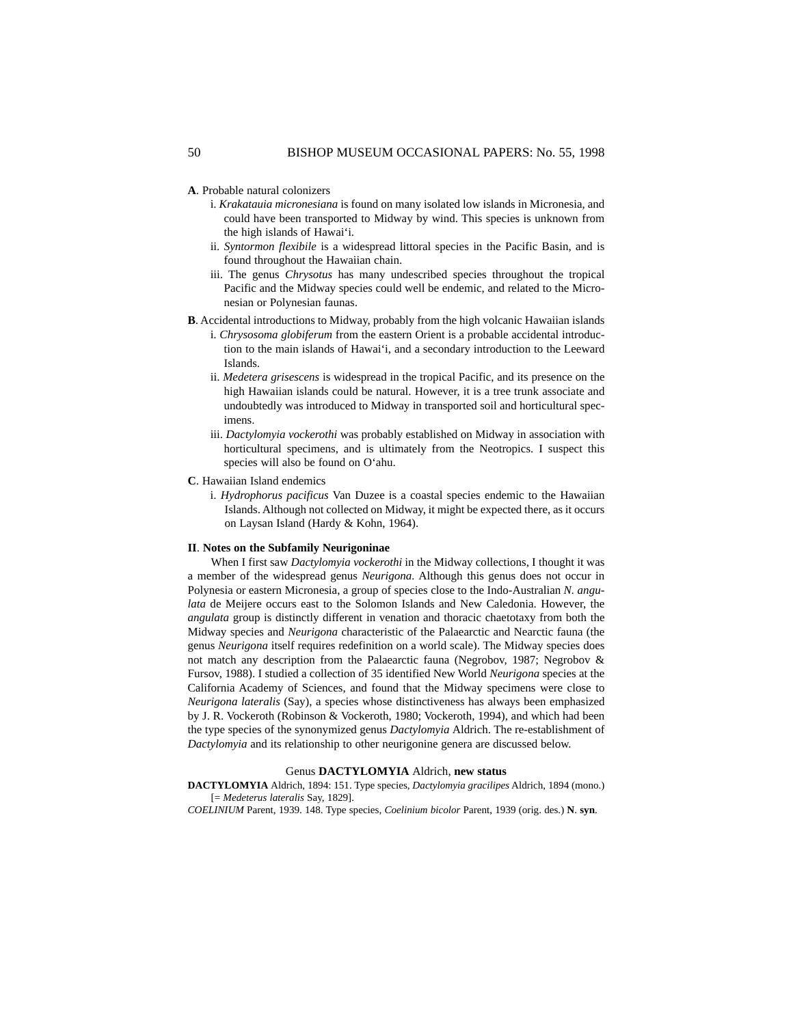- **A**. Probable natural colonizers
	- i. *Krakatauia micronesiana* is found on many isolated low islands in Micronesia, and could have been transported to Midway by wind. This species is unknown from the high islands of Hawai'i.
	- ii. *Syntormon flexibile* is a widespread littoral species in the Pacific Basin, and is found throughout the Hawaiian chain.
	- iii. The genus *Chrysotus* has many undescribed species throughout the tropical Pacific and the Midway species could well be endemic, and related to the Micronesian or Polynesian faunas.
- **B**. Accidental introductions to Midway, probably from the high volcanic Hawaiian islands
	- i. *Chrysosoma globiferum* from the eastern Orient is a probable accidental introduction to the main islands of Hawai'i, and a secondary introduction to the Leeward Islands.
	- ii. *Medetera grisescens* is widespread in the tropical Pacific, and its presence on the high Hawaiian islands could be natural. However, it is a tree trunk associate and undoubtedly was introduced to Midway in transported soil and horticultural specimens.
	- iii. *Dactylomyia vockerothi* was probably established on Midway in association with horticultural specimens, and is ultimately from the Neotropics. I suspect this species will also be found on O'ahu.
- **C**. Hawaiian Island endemics
	- i. *Hydrophorus pacificus* Van Duzee is a coastal species endemic to the Hawaiian Islands. Although not collected on Midway, it might be expected there, as it occurs on Laysan Island (Hardy & Kohn, 1964).

## **II**. **Notes on the Subfamily Neurigoninae**

When I first saw *Dactylomyia vockerothi* in the Midway collections, I thought it was a member of the widespread genus *Neurigona.* Although this genus does not occur in Polynesia or eastern Micronesia, a group of species close to the Indo-Australian *N. angulata* de Meijere occurs east to the Solomon Islands and New Caledonia. However, the *angulata* group is distinctly different in venation and thoracic chaetotaxy from both the Midway species and *Neurigona* characteristic of the Palaearctic and Nearctic fauna (the genus *Neurigona* itself requires redefinition on a world scale). The Midway species does not match any description from the Palaearctic fauna (Negrobov, 1987; Negrobov & Fursov, 1988). I studied a collection of 35 identified New World *Neurigona* species at the California Academy of Sciences, and found that the Midway specimens were close to *Neurigona lateralis* (Say), a species whose distinctiveness has always been emphasized by J. R. Vockeroth (Robinson & Vockeroth, 1980; Vockeroth, 1994), and which had been the type species of the synonymized genus *Dactylomyia* Aldrich. The re-establishment of *Dactylomyia* and its relationship to other neurigonine genera are discussed below.

### Genus **DACTYLOMYIA** Aldrich, **new status**

**DACTYLOMYIA** Aldrich, 1894: 151. Type species, *Dactylomyia gracilipes* Aldrich, 1894 (mono.) [= *Medeterus lateralis* Say, 1829].

*COELINIUM* Parent, 1939. 148. Type species, *Coelinium bicolor* Parent, 1939 (orig. des.) **N**. **syn**.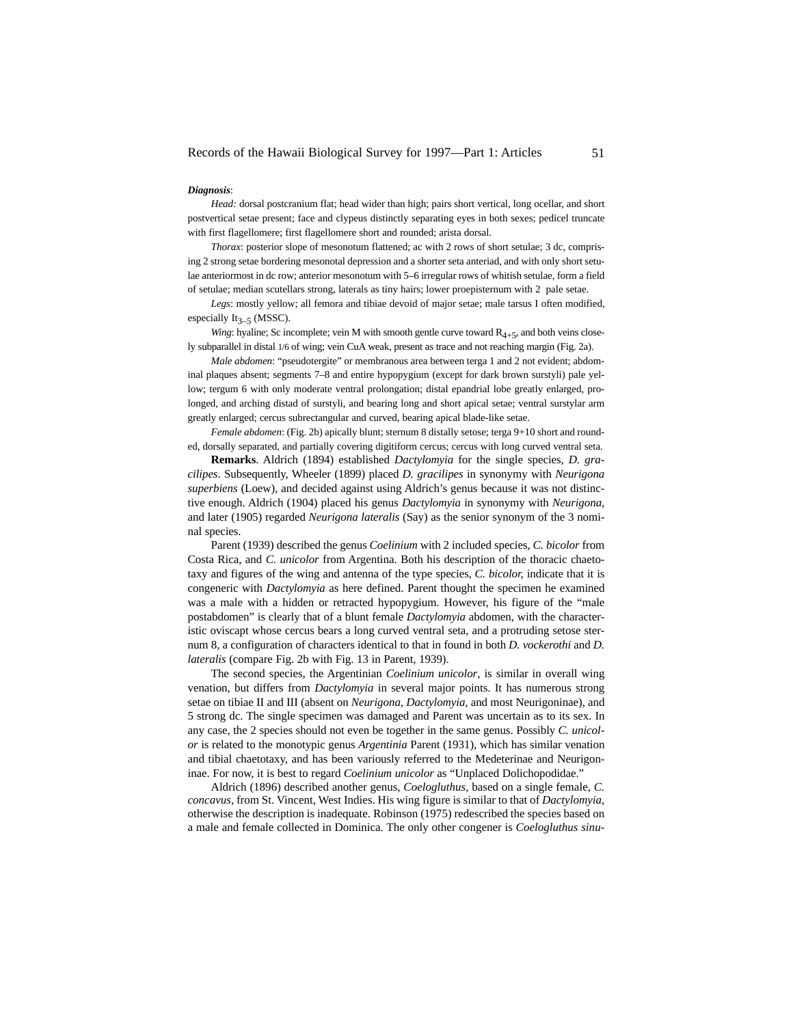#### *Diagnosis*:

*Head:* dorsal postcranium flat; head wider than high; pairs short vertical, long ocellar, and short postvertical setae present; face and clypeus distinctly separating eyes in both sexes; pedicel truncate with first flagellomere; first flagellomere short and rounded; arista dorsal.

*Thorax*: posterior slope of mesonotum flattened; ac with 2 rows of short setulae; 3 dc, comprising 2 strong setae bordering mesonotal depression and a shorter seta anteriad, and with only short setulae anteriormost in dc row; anterior mesonotum with 5–6 irregular rows of whitish setulae, form a field of setulae; median scutellars strong, laterals as tiny hairs; lower proepisternum with 2 pale setae.

*Legs*: mostly yellow; all femora and tibiae devoid of major setae; male tarsus I often modified, especially It<sub>2</sub>  $\epsilon$  (MSSC).

*Wing*: hyaline; Sc incomplete; vein M with smooth gentle curve toward  $R_{4+5}$ , and both veins closely subparallel in distal 1/6 of wing; vein CuA weak, present as trace and not reaching margin (Fig. 2a).

*Male abdomen*: "pseudotergite" or membranous area between terga 1 and 2 not evident; abdominal plaques absent; segments 7–8 and entire hypopygium (except for dark brown surstyli) pale yellow; tergum 6 with only moderate ventral prolongation; distal epandrial lobe greatly enlarged, prolonged, and arching distad of surstyli, and bearing long and short apical setae; ventral surstylar arm greatly enlarged; cercus subrectangular and curved, bearing apical blade-like setae.

*Female abdomen*: (Fig. 2b) apically blunt; sternum 8 distally setose; terga 9+10 short and rounded, dorsally separated, and partially covering digitiform cercus; cercus with long curved ventral seta.

**Remarks**. Aldrich (1894) established *Dactylomyia* for the single species, *D. gracilipes*. Subsequently, Wheeler (1899) placed *D. gracilipes* in synonymy with *Neurigona superbiens* (Loew), and decided against using Aldrich's genus because it was not distinctive enough. Aldrich (1904) placed his genus *Dactylomyia* in synonymy with *Neurigona,* and later (1905) regarded *Neurigona lateralis* (Say) as the senior synonym of the 3 nominal species.

Parent (1939) described the genus *Coelinium* with 2 included species, *C. bicolor* from Costa Rica, and *C. unicolor* from Argentina. Both his description of the thoracic chaetotaxy and figures of the wing and antenna of the type species, *C. bicolor,* indicate that it is congeneric with *Dactylomyia* as here defined. Parent thought the specimen he examined was a male with a hidden or retracted hypopygium. However, his figure of the "male postabdomen" is clearly that of a blunt female *Dactylomyia* abdomen, with the characteristic oviscapt whose cercus bears a long curved ventral seta, and a protruding setose sternum 8, a configuration of characters identical to that in found in both *D. vockerothi* and *D. lateralis* (compare Fig. 2b with Fig. 13 in Parent, 1939).

The second species, the Argentinian *Coelinium unicolor*, is similar in overall wing venation, but differs from *Dactylomyia* in several major points. It has numerous strong setae on tibiae II and III (absent on *Neurigona, Dactylomyia,* and most Neurigoninae), and 5 strong dc. The single specimen was damaged and Parent was uncertain as to its sex. In any case, the 2 species should not even be together in the same genus. Possibly *C. unicolor* is related to the monotypic genus *Argentinia* Parent (1931), which has similar venation and tibial chaetotaxy, and has been variously referred to the Medeterinae and Neurigoninae. For now, it is best to regard *Coelinium unicolor* as "Unplaced Dolichopodidae."

Aldrich (1896) described another genus, *Coelogluthus,* based on a single female, *C. concavus*, from St. Vincent, West Indies. His wing figure is similar to that of *Dactylomyia*, otherwise the description is inadequate. Robinson (1975) redescribed the species based on a male and female collected in Dominica. The only other congener is *Coelogluthus sinu-*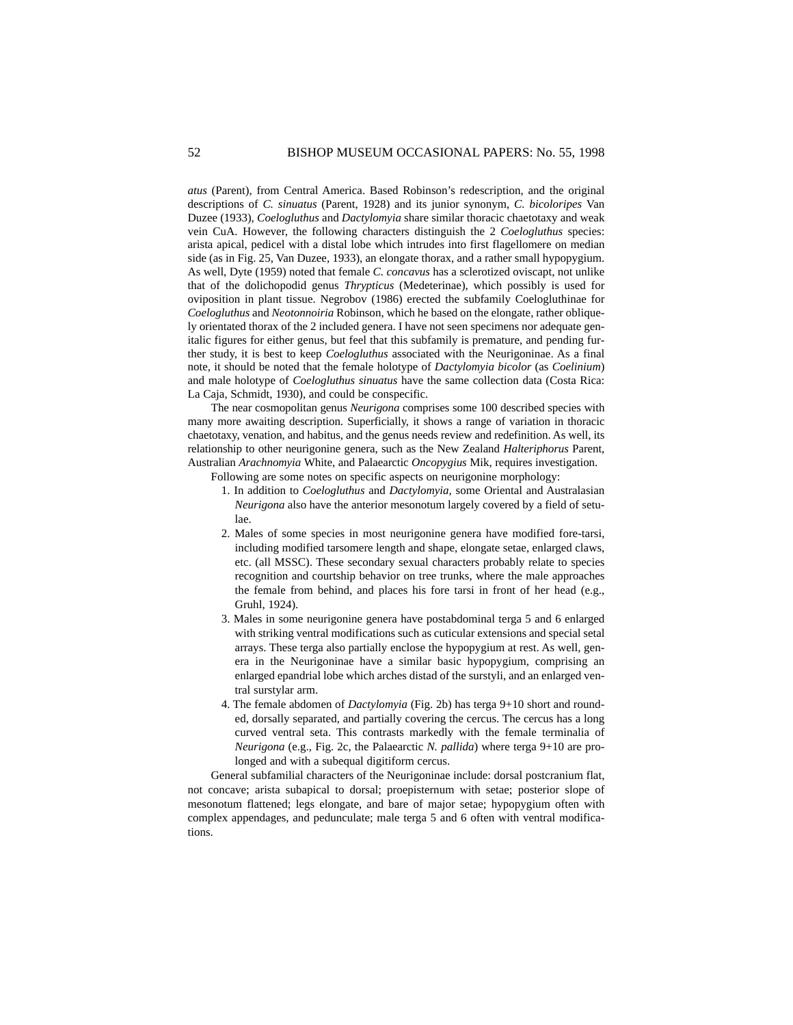*atus* (Parent), from Central America. Based Robinson's redescription, and the original descriptions of *C. sinuatus* (Parent, 1928) and its junior synonym, *C. bicoloripes* Van Duzee (1933), *Coelogluthus* and *Dactylomyia* share similar thoracic chaetotaxy and weak vein CuA. However, the following characters distinguish the 2 *Coelogluthus* species: arista apical, pedicel with a distal lobe which intrudes into first flagellomere on median side (as in Fig. 25, Van Duzee, 1933), an elongate thorax, and a rather small hypopygium. As well, Dyte (1959) noted that female *C. concavus* has a sclerotized oviscapt, not unlike that of the dolichopodid genus *Thrypticus* (Medeterinae), which possibly is used for oviposition in plant tissue. Negrobov (1986) erected the subfamily Coelogluthinae for *Coelogluthus* and *Neotonnoiria* Robinson, which he based on the elongate, rather obliquely orientated thorax of the 2 included genera. I have not seen specimens nor adequate genitalic figures for either genus, but feel that this subfamily is premature, and pending further study, it is best to keep *Coelogluthus* associated with the Neurigoninae. As a final note, it should be noted that the female holotype of *Dactylomyia bicolor* (as *Coelinium*) and male holotype of *Coelogluthus sinuatus* have the same collection data (Costa Rica: La Caja, Schmidt, 1930), and could be conspecific.

The near cosmopolitan genus *Neurigona* comprises some 100 described species with many more awaiting description. Superficially, it shows a range of variation in thoracic chaetotaxy, venation, and habitus, and the genus needs review and redefinition. As well, its relationship to other neurigonine genera, such as the New Zealand *Halteriphorus* Parent, Australian *Arachnomyia* White, and Palaearctic *Oncopygius* Mik, requires investigation.

Following are some notes on specific aspects on neurigonine morphology:

- 1. In addition to *Coelogluthus* and *Dactylomyia,* some Oriental and Australasian *Neurigona* also have the anterior mesonotum largely covered by a field of setulae.
- 2. Males of some species in most neurigonine genera have modified fore-tarsi, including modified tarsomere length and shape, elongate setae, enlarged claws, etc. (all MSSC). These secondary sexual characters probably relate to species recognition and courtship behavior on tree trunks, where the male approaches the female from behind, and places his fore tarsi in front of her head (e.g., Gruhl, 1924).
- 3. Males in some neurigonine genera have postabdominal terga 5 and 6 enlarged with striking ventral modifications such as cuticular extensions and special setal arrays. These terga also partially enclose the hypopygium at rest. As well, genera in the Neurigoninae have a similar basic hypopygium, comprising an enlarged epandrial lobe which arches distad of the surstyli, and an enlarged ventral surstylar arm.
- 4. The female abdomen of *Dactylomyia* (Fig. 2b) has terga 9+10 short and rounded, dorsally separated, and partially covering the cercus. The cercus has a long curved ventral seta. This contrasts markedly with the female terminalia of *Neurigona* (e.g., Fig. 2c, the Palaearctic *N. pallida*) where terga 9+10 are prolonged and with a subequal digitiform cercus.

General subfamilial characters of the Neurigoninae include: dorsal postcranium flat, not concave; arista subapical to dorsal; proepisternum with setae; posterior slope of mesonotum flattened; legs elongate, and bare of major setae; hypopygium often with complex appendages, and pedunculate; male terga 5 and 6 often with ventral modifications.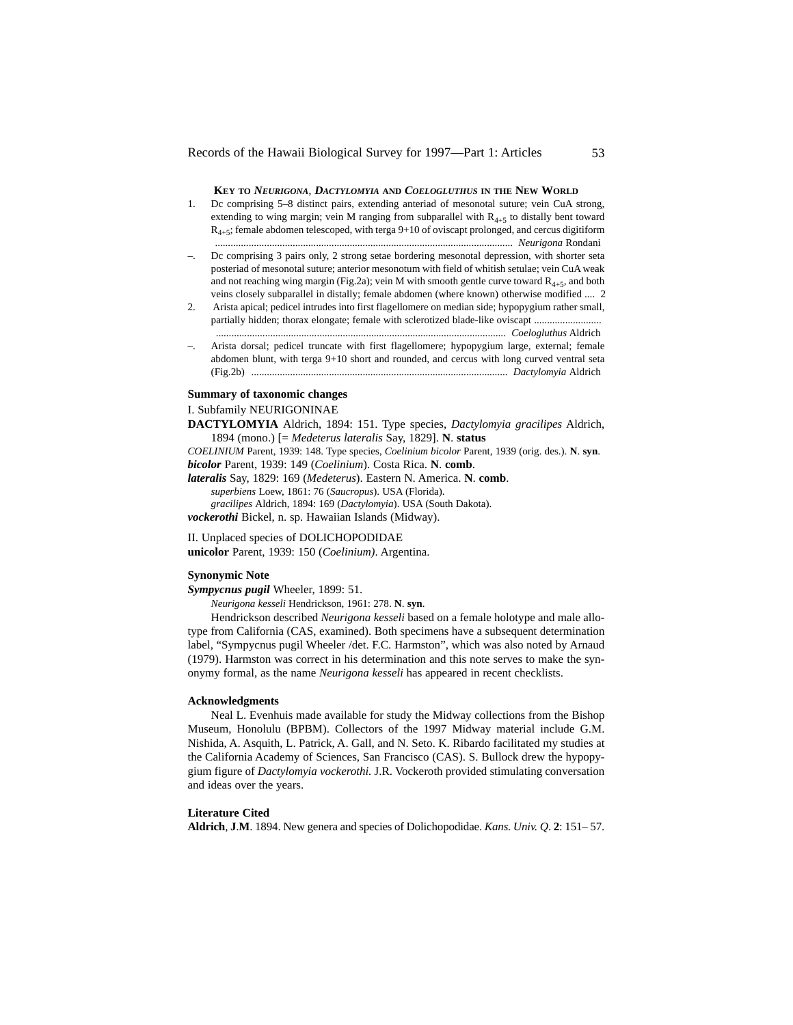## **KEY TO** *NEURIGONA, DACTYLOMYIA* **AND** *COELOGLUTHUS* **IN THE NEW WORLD**

- 1. Dc comprising 5–8 distinct pairs, extending anteriad of mesonotal suture; vein CuA strong, extending to wing margin; vein M ranging from subparallel with  $R_{4+5}$  to distally bent toward  $R_{4+5}$ ; female abdomen telescoped, with terga 9+10 of oviscapt prolonged, and cercus digitiform ................................................................................................................... *Neurigona* Rondani
- –. Dc comprising 3 pairs only, 2 strong setae bordering mesonotal depression, with shorter seta posteriad of mesonotal suture; anterior mesonotum with field of whitish setulae; vein CuA weak and not reaching wing margin (Fig.2a); vein M with smooth gentle curve toward  $R_{4+5}$ , and both veins closely subparallel in distally; female abdomen (where known) otherwise modified .... 2
- 2. Arista apical; pedicel intrudes into first flagellomere on median side; hypopygium rather small, partially hidden; thorax elongate; female with sclerotized blade-like oviscapt ........................... ................................................................................................................ *Coelogluthus* Aldrich
- –. Arista dorsal; pedicel truncate with first flagellomere; hypopygium large, external; female abdomen blunt, with terga 9+10 short and rounded, and cercus with long curved ventral seta (Fig.2b) ................................................................................................... *Dactylomyia* Aldrich

# **Summary of taxonomic changes**

### I. Subfamily NEURIGONINAE

**DACTYLOMYIA** Aldrich, 1894: 151. Type species, *Dactylomyia gracilipes* Aldrich, 1894 (mono.) [= *Medeterus lateralis* Say, 1829]. **N**. **status**

*COELINIUM* Parent, 1939: 148. Type species, *Coelinium bicolor* Parent, 1939 (orig. des.). **N**. **syn**. *bicolor* Parent, 1939: 149 (*Coelinium*). Costa Rica. **N**. **comb**.

*lateralis* Say, 1829: 169 (*Medeterus*). Eastern N. America. **N**. **comb**. *superbiens* Loew, 1861: 76 (*Saucropus*). USA (Florida). *gracilipes* Aldrich, 1894: 169 (*Dactylomyia*). USA (South Dakota).

*vockerothi* Bickel, n. sp. Hawaiian Islands (Midway).

II. Unplaced species of DOLICHOPODIDAE

**unicolor** Parent, 1939: 150 (*Coelinium)*. Argentina.

# **Synonymic Note**

*Sympycnus pugil* Wheeler, 1899: 51.

*Neurigona kesseli* Hendrickson, 1961: 278. **N**. **syn**.

Hendrickson described *Neurigona kesseli* based on a female holotype and male allotype from California (CAS, examined). Both specimens have a subsequent determination label, "Sympycnus pugil Wheeler /det. F.C. Harmston", which was also noted by Arnaud (1979). Harmston was correct in his determination and this note serves to make the synonymy formal, as the name *Neurigona kesseli* has appeared in recent checklists.

# **Acknowledgments**

Neal L. Evenhuis made available for study the Midway collections from the Bishop Museum, Honolulu (BPBM). Collectors of the 1997 Midway material include G.M. Nishida, A. Asquith, L. Patrick, A. Gall, and N. Seto. K. Ribardo facilitated my studies at the California Academy of Sciences, San Francisco (CAS). S. Bullock drew the hypopygium figure of *Dactylomyia vockerothi.* J.R. Vockeroth provided stimulating conversation and ideas over the years.

# **Literature Cited**

**Aldrich**, **J**.**M**. 1894. New genera and species of Dolichopodidae. *Kans. Univ. Q*. **2**: 151– 57.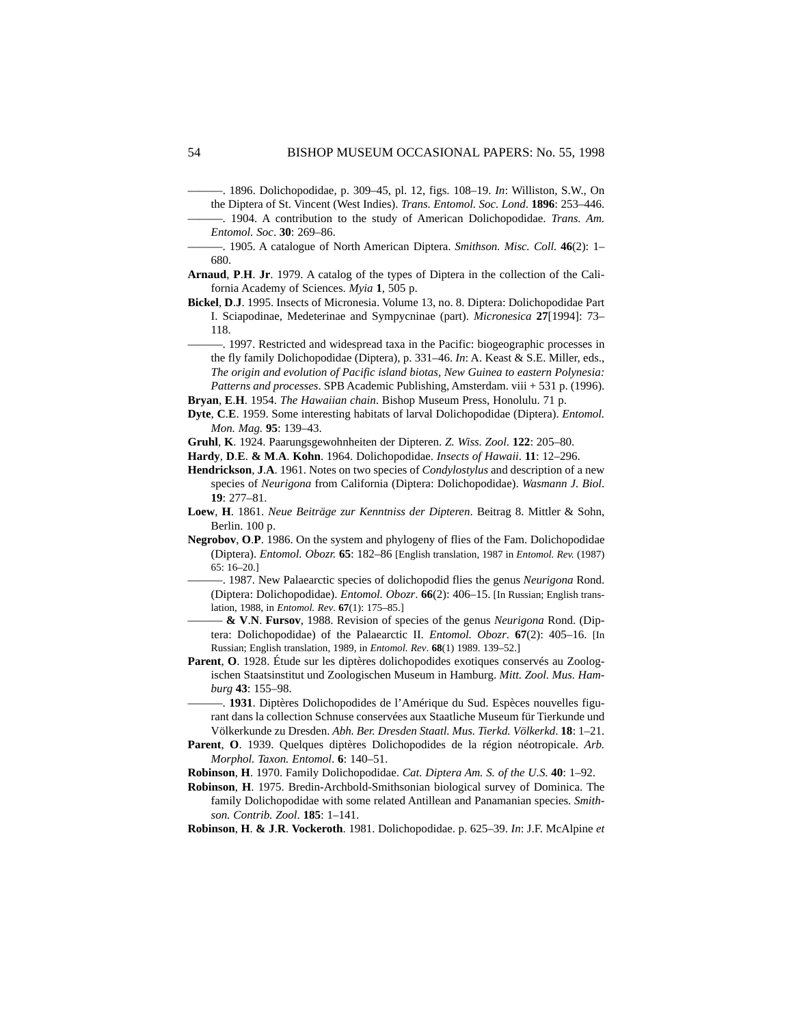———. 1896. Dolichopodidae, p. 309–45, pl. 12, figs. 108–19. *In*: Williston, S.W., On the Diptera of St. Vincent (West Indies). *Trans. Entomol. Soc. Lond*. **1896**: 253–446.

- ———. 1904. A contribution to the study of American Dolichopodidae. *Trans. Am. Entomol. Soc*. **30**: 269–86.
- ———. 1905. A catalogue of North American Diptera. *Smithson. Misc. Coll*. **46**(2): 1– 680.
- **Arnaud**, **P**.**H**. **Jr**. 1979. A catalog of the types of Diptera in the collection of the California Academy of Sciences. *Myia* **1**, 505 p.
- **Bickel**, **D**.**J**. 1995. Insects of Micronesia. Volume 13, no. 8. Diptera: Dolichopodidae Part I. Sciapodinae, Medeterinae and Sympycninae (part). *Micronesica* **27**[1994]: 73– 118.
- ———. 1997. Restricted and widespread taxa in the Pacific: biogeographic processes in the fly family Dolichopodidae (Diptera), p. 331–46. *In*: A. Keast & S.E. Miller, eds., *The origin and evolution of Pacific island biotas, New Guinea to eastern Polynesia: Patterns and processes*. SPB Academic Publishing, Amsterdam. viii + 531 p. (1996).
- **Bryan**, **E**.**H**. 1954. *The Hawaiian chain*. Bishop Museum Press, Honolulu. 71 p.
- **Dyte**, **C**.**E**. 1959. Some interesting habitats of larval Dolichopodidae (Diptera). *Entomol. Mon. Mag.* **95**: 139–43.
- **Gruhl**, **K**. 1924. Paarungsgewohnheiten der Dipteren. *Z. Wiss. Zool*. **122**: 205–80.
- **Hardy**, **D**.**E**. **& M**.**A**. **Kohn**. 1964. Dolichopodidae. *Insects of Hawaii*. **11**: 12–296.
- **Hendrickson**, **J**.**A**. 1961. Notes on two species of *Condylostylus* and description of a new species of *Neurigona* from California (Diptera: Dolichopodidae). *Wasmann J. Biol*. **19**: 277–81.
- **Loew**, **H**. 1861. *Neue Beiträge zur Kenntniss der Dipteren*. Beitrag 8. Mittler & Sohn, Berlin. 100 p.
- **Negrobov**, **O**.**P**. 1986. On the system and phylogeny of flies of the Fam. Dolichopodidae (Diptera). *Entomol. Obozr.* **65**: 182–86 [English translation, 1987 in *Entomol. Rev.* (1987) 65: 16–20.]
- ———. 1987. New Palaearctic species of dolichopodid flies the genus *Neurigona* Rond. (Diptera: Dolichopodidae). *Entomol. Obozr*. **66**(2): 406–15. [In Russian; English translation, 1988, in *Entomol. Rev*. **67**(1): 175–85.]
- ——— **& V**.**N**. **Fursov**, 1988. Revision of species of the genus *Neurigona* Rond. (Diptera: Dolichopodidae) of the Palaearctic II. *Entomol. Obozr*. **67**(2): 405–16. [In Russian; English translation, 1989, in *Entomol. Rev*. **68**(1) 1989. 139–52.]
- **Parent**, **O**. 1928. Étude sur les diptères dolichopodides exotiques conservés au Zoologischen Staatsinstitut und Zoologischen Museum in Hamburg. *Mitt. Zool. Mus. Hamburg* **43**: 155–98.
	- ———. **1931**. Diptères Dolichopodides de l'Amérique du Sud. Espèces nouvelles figurant dans la collection Schnuse conservées aux Staatliche Museum für Tierkunde und Völkerkunde zu Dresden. *Abh. Ber. Dresden Staatl. Mus. Tierkd. Völkerkd*. **18**: 1–21.
- **Parent**, **O**. 1939. Quelques diptères Dolichopodides de la région néotropicale. *Arb. Morphol. Taxon. Entomol*. **6**: 140–51.
- **Robinson**, **H**. 1970. Family Dolichopodidae. *Cat. Diptera Am. S. of the U.S*. **40**: 1–92.
- **Robinson**, **H**. 1975. Bredin-Archbold-Smithsonian biological survey of Dominica. The family Dolichopodidae with some related Antillean and Panamanian species. *Smithson. Contrib. Zool*. **185**: 1–141.
- **Robinson**, **H**. **& J**.**R**. **Vockeroth**. 1981. Dolichopodidae. p. 625–39. *In*: J.F. McAlpine *et*